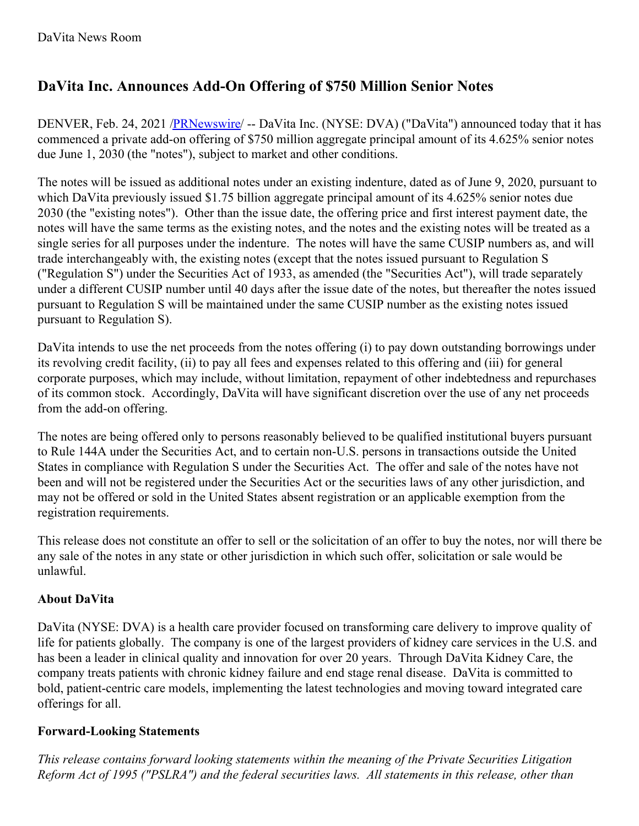## **DaVita Inc. Announces Add-On Offering of \$750 Million Senior Notes**

DENVER, Feb. 24, 2021 [/PRNewswire](http://www.prnewswire.com/)/ -- DaVita Inc. (NYSE: DVA) ("DaVita") announced today that it has commenced a private add-on offering of \$750 million aggregate principal amount of its 4.625% senior notes due June 1, 2030 (the "notes"), subject to market and other conditions.

The notes will be issued as additional notes under an existing indenture, dated as of June 9, 2020, pursuant to which DaVita previously issued \$1.75 billion aggregate principal amount of its 4.625% senior notes due 2030 (the "existing notes"). Other than the issue date, the offering price and first interest payment date, the notes will have the same terms as the existing notes, and the notes and the existing notes will be treated as a single series for all purposes under the indenture. The notes will have the same CUSIP numbers as, and will trade interchangeably with, the existing notes (except that the notes issued pursuant to Regulation S ("Regulation S") under the Securities Act of 1933, as amended (the "Securities Act"), will trade separately under a different CUSIP number until 40 days after the issue date of the notes, but thereafter the notes issued pursuant to Regulation S will be maintained under the same CUSIP number as the existing notes issued pursuant to Regulation S).

DaVita intends to use the net proceeds from the notes offering (i) to pay down outstanding borrowings under its revolving credit facility, (ii) to pay all fees and expenses related to this offering and (iii) for general corporate purposes, which may include, without limitation, repayment of other indebtedness and repurchases of its common stock. Accordingly, DaVita will have significant discretion over the use of any net proceeds from the add-on offering.

The notes are being offered only to persons reasonably believed to be qualified institutional buyers pursuant to Rule 144A under the Securities Act, and to certain non-U.S. persons in transactions outside the United States in compliance with Regulation S under the Securities Act. The offer and sale of the notes have not been and will not be registered under the Securities Act or the securities laws of any other jurisdiction, and may not be offered or sold in the United States absent registration or an applicable exemption from the registration requirements.

This release does not constitute an offer to sell or the solicitation of an offer to buy the notes, nor will there be any sale of the notes in any state or other jurisdiction in which such offer, solicitation or sale would be unlawful.

## **About DaVita**

DaVita (NYSE: DVA) is a health care provider focused on transforming care delivery to improve quality of life for patients globally. The company is one of the largest providers of kidney care services in the U.S. and has been a leader in clinical quality and innovation for over 20 years. Through DaVita Kidney Care, the company treats patients with chronic kidney failure and end stage renal disease. DaVita is committed to bold, patient-centric care models, implementing the latest technologies and moving toward integrated care offerings for all.

## **Forward-Looking Statements**

*This release contains forward looking statements within the meaning of the Private Securities Litigation Reform Act of 1995 ("PSLRA") and the federal securities laws. All statements in this release, other than*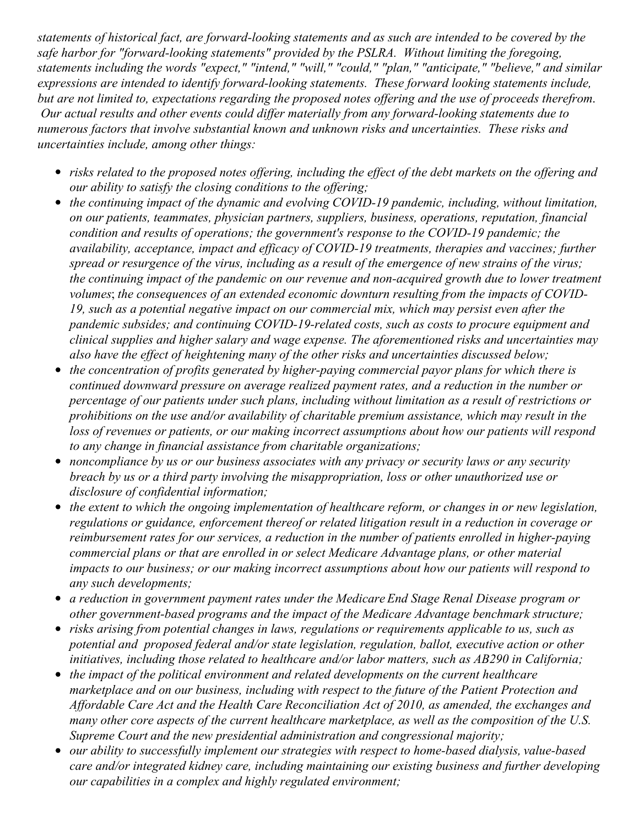statements of historical fact, are forward-looking statements and as such are intended to be covered by the *safe harbor for "forward-looking statements" provided by the PSLRA. Without limiting the foregoing, statements including the words "expect," "intend," "will," "could," "plan," "anticipate," "believe," and similar expressions are intended to identify forward-looking statements. These forward looking statements include,* but are not limited to, expectations regarding the proposed notes offering and the use of proceeds therefrom. *Our actual results and other events could dif er materially from any forward-looking statements due to numerous factors that involve substantial known and unknown risks and uncertainties. These risks and uncertainties include, among other things:*

- risks related to the proposed notes offering, including the effect of the debt markets on the offering and *our ability to satisfy the closing conditions to the of ering;*
- *the continuing impact of the dynamic and evolving COVID-19 pandemic, including, without limitation, on our patients, teammates, physician partners, suppliers, business, operations, reputation, financial condition and results of operations; the government's response to the COVID-19 pandemic; the availability, acceptance, impact and ef icacy of COVID-19 treatments, therapies and vaccines; further* spread or resurgence of the virus, including as a result of the emergence of new strains of the virus; *the continuing impact of the pandemic on our revenue and non-acquired growth due to lower treatment volumes*; *the consequences of an extended economic downturn resulting from the impacts of COVID-19, such as a potential negative impact on our commercial mix, which may persist even after the pandemic subsides; and continuing COVID-19-related costs, such as costs to procure equipment and clinical supplies and higher salary and wage expense. The aforementioned risks and uncertainties may also have the ef ect of heightening many of the other risks and uncertainties discussed below;*
- *the concentration of profits generated by higher-paying commercial payor plans for which there is continued downward pressure on average realized payment rates, and a reduction in the number or percentage of our patients under such plans, including without limitation as a result of restrictions or prohibitions on the use and/or availability of charitable premium assistance, which may result in the loss of revenues or patients, or our making incorrect assumptions about how our patients will respond to any change in financial assistance from charitable organizations;*
- *noncompliance by us or our business associates with any privacy or security laws or any security breach by us or a third party involving the misappropriation, loss or other unauthorized use or disclosure of confidential information;*
- *the extent to which the ongoing implementation of healthcare reform, or changes in or new legislation, regulations or guidance, enforcement thereof or related litigation result in a reduction in coverage or reimbursement rates for our services, a reduction in the number of patients enrolled in higher-paying commercial plans or that are enrolled in or select Medicare Advantage plans, or other material impacts to our business; or our making incorrect assumptions about how our patients will respond to any such developments;*
- *a reduction in government payment rates under the Medicare End Stage Renal Disease program or other government-based programs and the impact of the Medicare Advantage benchmark structure;*
- *risks arising from potential changes in laws, regulations or requirements applicable to us, such as potential and proposed federal and/or state legislation, regulation, ballot, executive action or other initiatives, including those related to healthcare and/or labor matters, such as AB290 in California;*
- *the impact of the political environment and related developments on the current healthcare marketplace and on our business, including with respect to the future of the Patient Protection and Af ordable Care Act and the Health Care Reconciliation Act of 2010, as amended, the exchanges and many other core aspects of the current healthcare marketplace, as well as the composition of the U.S. Supreme Court and the new presidential administration and congressional majority;*
- *our ability to successfully implement our strategies with respect to home-based dialysis, value-based care and/or integrated kidney care, including maintaining our existing business and further developing our capabilities in a complex and highly regulated environment;*